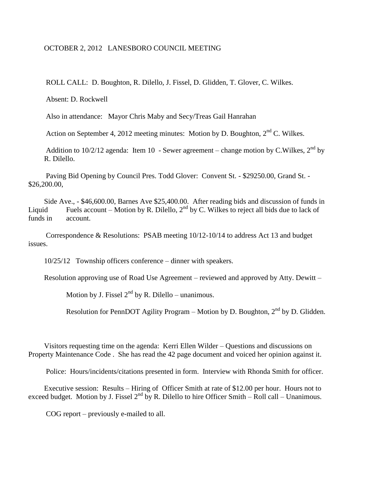## OCTOBER 2, 2012 LANESBORO COUNCIL MEETING

ROLL CALL: D. Boughton, R. Dilello, J. Fissel, D. Glidden, T. Glover, C. Wilkes.

Absent: D. Rockwell

Also in attendance: Mayor Chris Maby and Secy/Treas Gail Hanrahan

Action on September 4, 2012 meeting minutes: Motion by D. Boughton,  $2<sup>nd</sup>$  C. Wilkes.

Addition to 10/2/12 agenda: Item 10 - Sewer agreement – change motion by C.Wilkes,  $2^{nd}$  by R. Dilello.

Paving Bid Opening by Council Pres. Todd Glover: Convent St. - \$29250.00, Grand St. - \$26,200.00,

Side Ave., - \$46,600.00, Barnes Ave \$25,400.00. After reading bids and discussion of funds in Liquid Fuels account – Motion by R. Dilello,  $2<sup>nd</sup>$  by C. Wilkes to reject all bids due to lack of funds in account.

Correspondence & Resolutions: PSAB meeting 10/12-10/14 to address Act 13 and budget issues.

10/25/12 Township officers conference – dinner with speakers.

Resolution approving use of Road Use Agreement – reviewed and approved by Atty. Dewitt –

Motion by J. Fissel  $2^{nd}$  by R. Dilello – unanimous.

Resolution for PennDOT Agility Program – Motion by D. Boughton,  $2<sup>nd</sup>$  by D. Glidden.

Visitors requesting time on the agenda: Kerri Ellen Wilder – Questions and discussions on Property Maintenance Code . She has read the 42 page document and voiced her opinion against it.

Police: Hours/incidents/citations presented in form. Interview with Rhonda Smith for officer.

Executive session: Results – Hiring of Officer Smith at rate of \$12.00 per hour. Hours not to exceed budget. Motion by J. Fissel  $2^{nd}$  by R. Dilello to hire Officer Smith – Roll call – Unanimous.

COG report – previously e-mailed to all.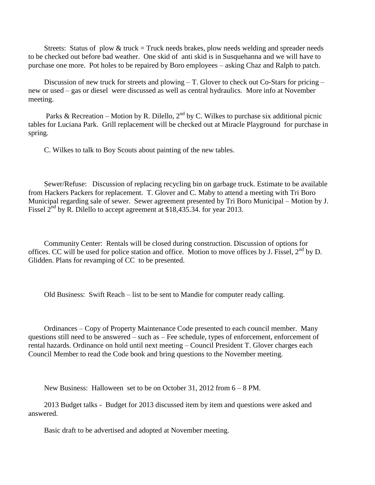Streets: Status of plow  $&$  truck = Truck needs brakes, plow needs welding and spreader needs to be checked out before bad weather. One skid of anti skid is in Susquehanna and we will have to purchase one more. Pot holes to be repaired by Boro employees – asking Chaz and Ralph to patch.

Discussion of new truck for streets and plowing – T. Glover to check out Co-Stars for pricing – new or used – gas or diesel were discussed as well as central hydraulics. More info at November meeting.

Parks & Recreation – Motion by R. Dilello,  $2<sup>nd</sup>$  by C. Wilkes to purchase six additional picnic tables for Luciana Park. Grill replacement will be checked out at Miracle Playground for purchase in spring.

C. Wilkes to talk to Boy Scouts about painting of the new tables.

Sewer/Refuse: Discussion of replacing recycling bin on garbage truck. Estimate to be available from Hackers Packers for replacement. T. Glover and C. Maby to attend a meeting with Tri Boro Municipal regarding sale of sewer. Sewer agreement presented by Tri Boro Municipal – Motion by J. Fissel  $2^{nd}$  by R. Dilello to accept agreement at \$18,435.34. for year 2013.

Community Center: Rentals will be closed during construction. Discussion of options for offices. CC will be used for police station and office. Motion to move offices by J. Fissel,  $2<sup>nd</sup>$  by D. Glidden. Plans for revamping of CC to be presented.

Old Business: Swift Reach – list to be sent to Mandie for computer ready calling.

Ordinances – Copy of Property Maintenance Code presented to each council member. Many questions still need to be answered – such as – Fee schedule, types of enforcement, enforcement of rental hazards. Ordinance on hold until next meeting – Council President T. Glover charges each Council Member to read the Code book and bring questions to the November meeting.

New Business: Halloween set to be on October 31, 2012 from 6 – 8 PM.

2013 Budget talks - Budget for 2013 discussed item by item and questions were asked and answered.

Basic draft to be advertised and adopted at November meeting.